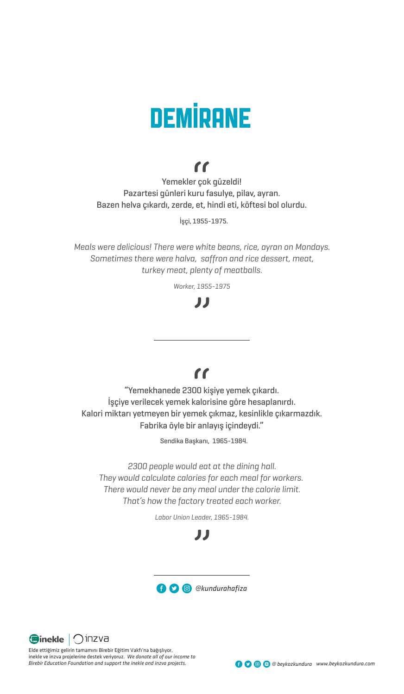# **DEMİRANE**

# $\mathbf{f}$

Yemekler çok güzeldi! Pazartesi günleri kuru fasulye, pilav, ayran. Bazen helva çıkardı, zerde, et, hindi eti, köftesi bol olurdu.

İşçi, 1955-1975.

*Meals were delicious! There were white beans, rice, ayran on Mondays. Sometimes there were halva, saffron and rice dessert, meat, turkey meat, plenty of meatballs.*

*Worker, 1955-1975*

# JJ

# $\mathbf{f}$

"Yemekhanede 2300 kişiye yemek çıkardı. İşçiye verilecek yemek kalorisine göre hesaplanırdı. Kalori miktarı yetmeyen bir yemek çıkmaz, kesinlikle çıkarmazdık. Fabrika öyle bir anlayış içindeydi."

Sendika Başkanı, 1965-1984.

*2300 people would eat at the dining hall. They would calculate calories for each meal for workers. There would never be any meal under the calorie limit. That's how the factory treated each worker.*

*Labor Union Leader, 1965-1984.*

# IJ





Elde ettiğimiz gelirin tamamını Birebir Eğitim Vakfı'na bağışlıyor, inekle ve inzva projelerine destek veriyoruz. *We donate all of our income to Birebir Education Foundation and support the inekle and inzva projects.*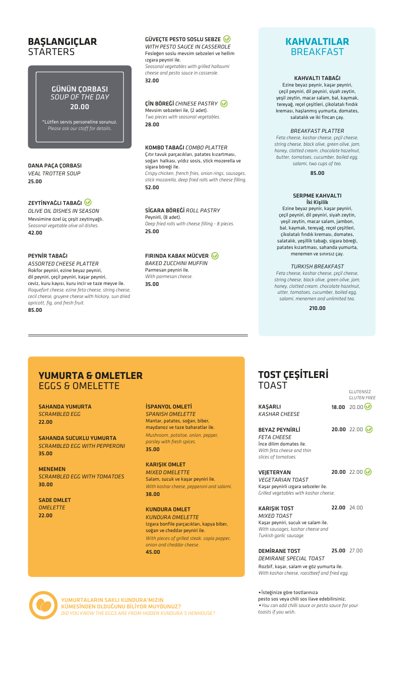### **BAŞLANGIÇLAR STARTERS**

### GÜNÜN ÇORBASI *SOUP OF THE DAY* 20.00

\*Lütfen servis personeline sorunuz. *Please ask our staff for details*.

DANA PAÇA ÇORBASI *VEAL TROTTER SOUP* 25.00

### ZEYTİNYAĞLI TABAĞI

*OLIVE OIL DISHES IN SEASON*  Mevsimine özel üç çeşit zeytinyağlı. *Seasonal vegetable olive oil dishes.* 42.00

### PEYNİR TABAĞI

*ASSORTED CHEESE PLATTER*  Rokfor peyniri, ezine beyaz peyniri, dil peyniri, çeçil peyniri, kaşar peyniri, ceviz, kuru kayısı, kuru incir ve taze meyve ile. *Roquefort cheese, ezine feta cheese, string cheese, cecil cheese, gruyere cheese with hickory, sun dried apricott, fig, and fresh fruit.* 85.00

### GÜVECTE PESTO SOSLU SEBZE

*WITH PESTO SAUCE IN CASSEROLE* Fesleğen soslu mevsim sebzeleri ve hellim ızgara peyniri ile. *Seasonal vegetables with grilled halloumi cheese and pesto sauce in casserole.* 32.00

### ÇİN BÖREĞİ *CHINESE PASTRY* Mevsim sebzeleri ile, (2 adet). *Two pieces with seasonal vegetables.*

28.00

### KOMBO TABAĞI *COMBO PLATTER*

Çıtır tavuk parçacıkları, patates kızartması, soğan halkası, yıldız sosis, stick mozerella ve sigara böreği ile. *Crispy chicken, french fries, onion rings, sausages, stick mozarella, deep fried rolls with cheese filling.* 52.00

### SİGARA BÖREĞİ *ROLL PASTRY*

Peynirli, (8 adet). *Deep fried rolls with cheese filling - 8 pieces.* 25.00

### FIRINDA KABAK MÜCVER

*BAKED ZUCCHINI MUFFIN* Parmesan peyniri ile. *With parmesan cheese.* 35.00

### **KAHVALTILAR** BREAKFAST

### KAHVALTI TABAĞI

Ezine beyaz peynir, kaşar peyniri, çeçil peyniri, dil peyniri, siyah zeytin, yeşil zeytin, macar salam, bal, kaymak, tereyağ, reçel çeşitleri, çikolatalı fındık kreması, haşlanmış yumurta, domates, salatalık ve iki fincan çay.

### *BREAKFAST PLATTER*

*Feta cheese, kashar cheese, çeçil cheese, string cheese, black olive, green olive, jam, honey, clotted cream, chocolate hazelnut, butter, tomatoes, cucumber, boiled egg, salami, two cups of tea.* 

85.00

### SERPME KAHVALTI İki Kişilik

Ezine beyaz peynir, kaşar peyniri, çeçil peyniri, dil peyniri, siyah zeytin, yeşil zeytin, macar salam, jambon, bal, kaymak, tereyağ, reçel çeşitleri, çikolatalı fındık kreması, domates, salatalık, yeşillik tabağı, sigara böreği, patates kızartması, sahanda yumurta, menemen ve sınırsız çay.

### *TURKISH BREAKFAST*

*Feta cheese, kashar cheese, çeçil cheese, string cheese, black olive, green olive, jam, honey, clotted cream, chocolate hazelnut, utter, tomatoes, cucumber, boiled egg, salami, menemen and unlimited tea.*

210.00

### **YUMURTA & OMLETLER** EGGS & OMELETTE

SAHANDA YUMURTA *SCRAMBLED EGG* 22.00

SAHANDA SUCUKLU YUMURTA *SCRAMBLED EGG WITH PEPPERONI* 35.00

MENEMEN *SCRAMBLED EGG WITH TOMATOES* 30.00

SADE OMLET *OMELETTE* 22.00

İSPANYOL OMLETİ *SPANISH OMELETTE* Mantar, patates, soğan, biber, maydanoz ve taze baharatlar ile. *Mushroom, potatoe, onion, pepper,* 

*parsley with fresh spices.*  35.00

KARIŞIK OMLET *MIXED OMELETTE* Salam, sucuk ve kaşar peyniri ile. *With kashar cheese, pepperoni and salami.* 

KUNDURA OMLET

Izgara bonfile parçacıkları, kapya biber, soğan ve cheddar peyniri ile. *With pieces of grilled steak, capia pepper, onion and cheddar cheese.*  45.00

### **TOST ÇEŞİTLERİ**  TOAST

|                                        | GLUTENSİZ<br><b>GLUTEN FREE</b> |
|----------------------------------------|---------------------------------|
| <b>KASARLI</b><br><b>KASHAR CHEESE</b> | 18.00 20.00 ◎                   |
| <b>BEYAZ PEYNİRLİ</b>                  | $20.0022.00\omega$              |

*FETA CHEESE* İnce dilim domates ile. *With feta cheese and thin slices of tomatoes.*

**VEIETERYAN** 

20.00 22.00 ◎

*VEGETARIAN TOAST* Kaşar peynirli ızgara sebzeler ile. *Grilled vegetables with kashar cheese.* 

22.00 24.00

KARIŞIK TOST *MIXED TOAST* Kaşar peyniri, sucuk ve salam ile. *With sausages, kashar cheese and Turkish garlic sausage.* 

DEMİRANE TOST *DEMIRANE SPECIAL TOAST* Rozbif, kaşar, salam ve göz yumurta ile. 25.00 27.00

*With kashar cheese, roastbeef and fried egg.* İsteğinize göre tostlarınıza

pesto sos veya chili sos ilave edebilirsiniz.  *You can add chilli sauce or pesto sauce for your toasts if you wish*.



YUMURTALARIN SAKLI KUNDURA'MIZIN KÜMESİNDEN OLDUĞUNU BİLİYOR MUYDUNUZ? *DID YOU KNOW THE EGGS ARE FROM HIDDEN KUNDURA'S HENHOUSE?*

38.00

*KUNDURA OMELETTE*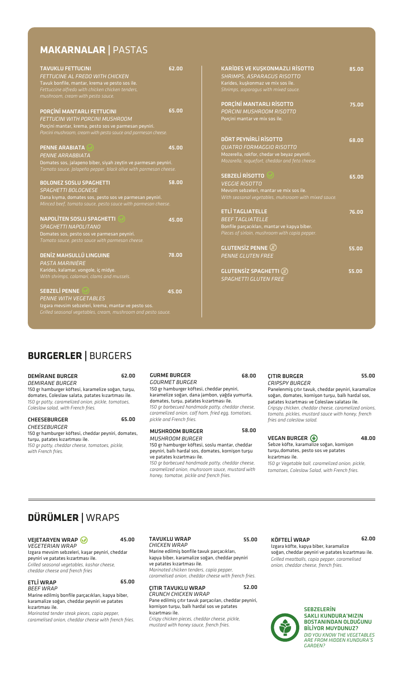# **MAKARNALAR |** PASTAS

| TAVUKLU FETTUCINI                                                | 62.00 |
|------------------------------------------------------------------|-------|
| FETTUCINE AL FREDO WITH CHICKEN                                  |       |
| Tavuk bonfile, mantar, krema ve pesto sos ile.                   |       |
| Fettuccine alfredo with chicken chicken tenders,                 |       |
| mushroom, cream with pesto sauce.                                |       |
|                                                                  |       |
| PORÇİNİ MANTARLI FETTUCINI                                       | 65.00 |
| FFTTUCINI WITH PORCINI MUSHROOM                                  |       |
| Porçini mantar, krema, pesto sos ve parmesan peyniri.            |       |
| Porcini mushroom, cream with pesto sauce and parmesan cheese.    |       |
|                                                                  |       |
| <b>PENNE ARABIATA</b>                                            | 45.00 |
| <b>PENNE ARRABBIATA</b>                                          |       |
| Domates sos, jalapeno biber, siyah zeytin ve parmesan peyniri.   |       |
| Tomato sauce, Jalapeño pepper, black olive with parmesan cheese. |       |
|                                                                  |       |
| <b>BOLONEZ SOSLU SPAGHETTI</b>                                   | 58.00 |
| <b>SPAGHETTI BOLOGNESE</b>                                       |       |
| Dana kıyma, domates sos, pesto sos ve parmesan peyniri.          |       |
| Minced beef, tomato sauce, pesto sauce with parmesan cheese.     |       |
|                                                                  |       |
| <b>NAPOLİTEN SOSLU SPAGHETTI</b>                                 | 45.00 |
| <b>SPAGHETTI NAPOLITANO</b>                                      |       |
| Domates sos, pesto sos ve parmesan peyniri.                      |       |
| Tomato sauce, pesto sauce with parmesan cheese.                  |       |
|                                                                  |       |
| <b>DENİZ MAHSULLÜ LINGUINE</b>                                   | 78.00 |
| PASTA MARINIÈRE                                                  |       |
| Karides, kalamar, vongole, iç midye.                             |       |
| With shrimps, calamari, clams and mussels.                       |       |
|                                                                  |       |
| <b>SEBZELİ PENNE</b>                                             | 45.00 |
| <b>PENNE WITH VEGETABLES</b>                                     |       |
| Izgara mevsim sebzeleri, krema, mantar ve pesto sos.             |       |

| KARIDES VE KUŞKONMAZLI RİSOTTO<br><b>SHRIMPS, ASPARAGUS RISOTTO</b><br>Karides, kuşkonmaz ve mix sos ile.<br>Shrimps, asparagus with mixed sauce. | 85.00 |
|---------------------------------------------------------------------------------------------------------------------------------------------------|-------|
| PORÇİNİ MANTARLI RİSOTTO                                                                                                                          | 75.00 |
| PORCINI MUSHROOM RISOTTO                                                                                                                          |       |
| Porçini mantar ve mix sos ile.<br>DÖRT PEYNİRLİ RİSOTTO                                                                                           |       |
| <b>OUATRO FORMAGGIO RISOTTO</b>                                                                                                                   | 68.00 |
| Mozerella, rokfor, chedar ve beyaz peynirli.                                                                                                      |       |
| Mozarella, roquefort, cheddar and feta cheese.                                                                                                    |       |
| <b>SEBZELİ RİSOTTO</b>                                                                                                                            | 65.00 |
| <b>VEGGIE RISOTTO</b>                                                                                                                             |       |
| Mevsim sebzeleri, mantar ve mix sos ile.<br>With seasonal vegetables, muhsroom with mixed sauce.                                                  |       |
| <b>ETLİ TAGLIATELLE</b>                                                                                                                           | 76.00 |
| <b>BEEF TAGLIATELLE</b>                                                                                                                           |       |
| Bonfile parçacıkları, mantar ve kapya biber.<br>Pieces of sirloin, mushroom with capia pepper.                                                    |       |
| GLUTENSİZ PENNE (3)                                                                                                                               | 55.00 |
| <b>PENNE GLUTEN FREE</b>                                                                                                                          |       |
| <b>GLUTENSIZ SPAGHETTI</b>                                                                                                                        | 55.00 |
| <b>SPAGHETTI GLUTEN FREE</b>                                                                                                                      |       |

# **BURGERLER |** BURGERS

| <b>DEMIRANE BURGER</b><br>DEMIRANE BURGER<br>150 gr hamburger köftesi, karamelize soğan, turşu,<br>domates, Coleslaw salata, patates kizartmasi ile.<br>150 gr patty, caramelized onion, pickle, tomatoes,<br>Coleslaw salad, with French fries. | 62.00 | <b>GURME BURGER</b><br><i><b>GOURMET BURGER</b></i><br>150 gr hamburger köftesi, cheddar peyniri,<br>karamelize soğan, dana jambon, yağda yumurta,<br>domates, turşu, patates kızartması ile.<br>150 gr barbecued handmade patty, cheddar cheese,<br>caramelized onion, calf ham, fried egg, tomatoes,                              | 68.00 | <b>CITIR BURGER</b><br><b>CRIPSPY BURGER</b><br>Panelenmis citir tavuk, cheddar peyniri, karamalize<br>soğan, domates, kornişon turşu, ballı hardal sos,<br>patates kizartması ve Coleslaw salatası ile.<br>Cripspy chicken, cheddar cheese, caramelized onions,<br>tomato, pickles, mustard sauce with honey, french | 55.00 |
|--------------------------------------------------------------------------------------------------------------------------------------------------------------------------------------------------------------------------------------------------|-------|-------------------------------------------------------------------------------------------------------------------------------------------------------------------------------------------------------------------------------------------------------------------------------------------------------------------------------------|-------|-----------------------------------------------------------------------------------------------------------------------------------------------------------------------------------------------------------------------------------------------------------------------------------------------------------------------|-------|
| <b>CHEESEBURGER</b>                                                                                                                                                                                                                              | 65.00 | pickle and French fries.                                                                                                                                                                                                                                                                                                            |       | fries and coleslaw salad.                                                                                                                                                                                                                                                                                             |       |
| CHEESEBURGER<br>150 gr hamburger köftesi, cheddar peyniri, domates,<br>turşu, patates kızartması ile.<br>150 gr patty, cheddar cheese, tomatoes, pickle,<br>with French fries.                                                                   |       | <b>MUSHROOM BURGER</b><br>MUSHROOM BURGER<br>150 gr hamburger köftesi, soslu mantar, cheddar<br>peyniri, ballı hardal sos, domates, kornişon turşu<br>ve patates kizartması ile.<br>150 gr barbecued handmade patty, cheddar cheese,<br>caramelized onion, muhsroom sauce, mustard with<br>honey, tomatoe, pickle and french fries. | 58.00 | <b>VEGAN BURGER (*)</b><br>Sebze köfte, karamalize soğan, kornişon<br>turşu, domates, pesto sos ve patates<br>kızartması ile.<br>150 gr Vegetable ball, caramelized onion, pickle,<br>tomatoes, Coleslaw Salad, with French fries.                                                                                    | 48.00 |

# **DÜRÜMLER |** WRAPS

| <b>VEJETARYEN WRAP</b>                          | 45. |
|-------------------------------------------------|-----|
| <b>VEGETERIAN WRAP</b>                          |     |
| Izgara mevsim sebzeleri, kaşar peyniri, cheddar |     |
| peyniri ve patates kızartması ile.              |     |
| Grilled seasonal vegetables, kashar cheese,     |     |
| cheddar cheese and french fries                 |     |

| <b>ETLİ WRAP</b><br>65.00                         |  |
|---------------------------------------------------|--|
| BEEF WRAP                                         |  |
| Marine edilmiş bonfile parçacıkları, kapya biber, |  |

karamalize soğan, cheddar peyniri ve patates kızartması ile. *Marinated tender steak pieces, capia pepper,* 

*caramelised onion, cheddar cheese with french fries.*

TAVUKLU WRAP *CHICKEN WRAP*  KÖFTELİ WRAP 45.00 62.00

Marine edilmiş bonfile tavuk parçacıkları, kapya biber, karamalize soğan, cheddar peyniri ve patates kızartması ile. *Marinated chicken tenders, capia pepper,* 

*caramelised onion, cheddar cheese with french fries.*

ÇITIR TAVUKLU WRAP *CRUNCH CHICKEN WRAP*  Pane edilmiş çıtır tavuk parçacıları, cheddar peyniri, 52.00

kornişon turşu, ballı hardal sos ve patates kızartması ile.

*Crispy chicken pieces, cheddar cheese, pickle, mustard with honey sauce, french fries.*

### 55.00

Izgara köfte, kapya biber, karamalize soğan, cheddar peyniri ve patates kızartması ile. *Grilled meatballs, capia pepper, caramelised onion, cheddar cheese, french fries.*



**SEBZELERİN** SAKLI KUNDURA'MIZIN BOSTANINDAN OLDUĞUNU BİLİYOR MUYDUNUZ? *DID YOU KNOW THE VEGETABLES ARE FROM HIDDEN KUNDURA'S GARDEN?*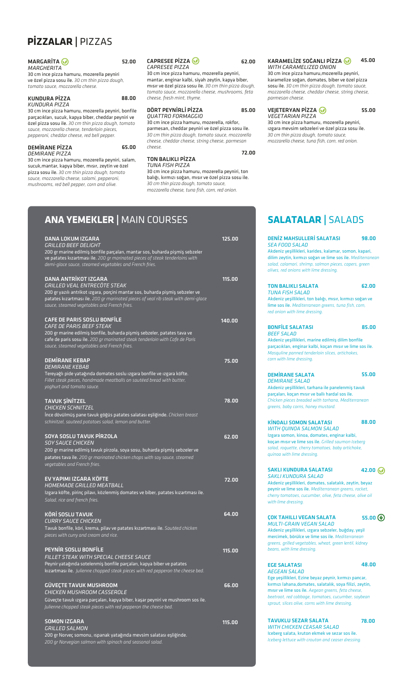# **PİZZALAR |** PIZZAS

| <b>MARGARITA</b>                                | 52.00 |
|-------------------------------------------------|-------|
| MARGHERITA                                      |       |
| 30 cm ince pizza hamuru, mozerella peyniri      |       |
| ve özel pizza sosu ile. 30 cm thin pizza dough, |       |
| tomato sauce, mozzarella cheese.                |       |

#### KUNDURA PİZZA *KUNDURA PIZZA*

30 cm ince pizza hamuru, mozerella peyniri, bonfile parçacıkları, sucuk, kapya biber, cheddar peyniri ve özel pizza sosu ile. *30 cm thin pizza dough, tomato sauce, mozzarella cheese, tenderloin pieces, pepperoni, cheddar cheese, red bell pepper.*

#### DEMİRANE PİZZA *DEMIRANE PIZZA*

30 cm ince pizza hamuru, mozerella peyniri, salam, sucuk,mantar, kapya biber, mısır, zeytin ve özel pizza sosu ile. *30 cm thin pizza dough, tomato sauce, mozzarella cheese, salami, pepperoni, mushrooms, red bell pepper, corn and olive.* 

#### CAPRESEE PİZZA *CAPRESEE PIZZA*

30 cm ince pizza hamuru, mozerella peyniri, mantar, enginar kalbi, siyah zeytin, kapya biber, mısır ve özel pizza sosu ile. *30 cm thin pizza dough, tomato sauce, mozzarella cheese, mushrooms, feta cheese, fresh mint, thyme.*

#### DÖRT PEYNİRLİ PİZZA *QUATTRO FORMAGGIO*

30 cm ince pizza hamuru, mozerella, rokfor, parmesan, cheddar peyniri ve özel pizza sosu ile. *30 cm thin pizza dough, tomato sauce, mozzarella cheese, cheddar cheese, string cheese, parmesan cheese.*

### 72.00

62.00

85.00

#### KARAMELİZE SOĞANLI PİZZA *WITH CARAMELIZED ONION* 45.00

30 cm ince pizza hamuru,mozerella peyniri, karamelize soğan, domates, biber ve özel pizza sosu ile. *30 cm thin pizza dough, tomato sauce, mozzarella cheese, cheddar cheese, string cheese, parmesan cheese.*

#### VEJETERYAN PİZZA *VEGETARIAN PIZZA*

30 cm ince pizza hamuru, mozerella peyniri, ızgara mevsim sebzeleri ve özel pizza sosu ile. *30 cm thin pizza dough, tomato sauce, mozzarella cheese, tuna fish, corn, red onion.*

55.00



30 cm ince pizza hamuru, mozerella peyniri, ton balığı, kırmızı soğan, mısır ve özel pizza sosu ile. *30 cm thin pizza dough, tomato sauce, mozzarella cheese, tuna fish, corn, red onion.*

### **ANA YEMEKLER |** MAIN COURSES **SALATALAR |** SALADS

88.00

65.00

| <b>DANA LOKUM IZGARA</b><br><i><b>GRILLED BEEF DELIGHT</b></i><br>200 gr marine edilmiş bonfile parçaları, mantar sos, buharda pişmiş sebzeler<br>ve patates kizartmasi ile. 200 gr marinated pieces of steak tenderloins with<br>demi-glace sauce, steamed vegetables and French fries. | 125.00 |
|------------------------------------------------------------------------------------------------------------------------------------------------------------------------------------------------------------------------------------------------------------------------------------------|--------|
| <b>DANA ANTRİKOT IZGARA</b><br><b>GRILLED VEAL ENTRECÔTE STEAK</b><br>200 gr yazılı antrikot ızgara, porçini mantar sos, buharda pişmiş sebzeler ve<br>patates kizartmasi ile. 200 gr marinated pieces of veal rib steak with demi-glace<br>sauce, steamed vegetables and French fries.  | 115.00 |
| <b>CAFE DE PARIS SOSLU BONFİLE</b><br><b>CAFE DE PARIS BEEF STEAK</b><br>200 gr marine edilmiş bonfile, buharda pişmiş sebzeler, patates tava ve<br>cafe de paris sosu ile. 200 gr marinated steak tenderloin with Cafe de Paris<br>sauce, steamed vegetables and French fries.          | 140.00 |
| <b>DEMIRANE KEBAP</b><br><b>DEMIRANE KEBAB</b><br>Tereyağlı pide yatağında domates soslu ızgara bonfile ve ızgara köfte.<br>Fillet steak pieces, handmade meatballs on sautéed bread with butter,<br>yoghurt and tomato sauce.                                                           | 75.00  |
| <b>TAVUK ŞİNİTZEL</b><br><b>CHICKEN SCHNITZEL</b><br>Ince dövülmüş pane tavuk göğüs patates salatası eşliğinde. Chicken breast<br>schinitzel, sauteed potatoes salad, lemon and butter.                                                                                                  | 78.00  |
| <b>SOYA SOSLU TAVUK PİRZOLA</b><br><b>SOY SAUCE CHICKEN</b><br>200 gr marine edilmiş tavuk pirzola, soya sosu, buharda pişmiş sebzeler ve<br>patates tava ile. 200 gr marinated chicken chops with soy sauce, steamed<br>vegetables and French fries.                                    | 62.00  |
| EV YAPIMI IZGARA KÖFTE<br><b>HOMEMADE GRILLED MEATBALL</b><br>Izgara köfte, pirinç pilavı, közlenmiş domates ve biber, patates kızartması ile.<br>Salad, rice and french fries.                                                                                                          | 72.00  |
| <b>KÖRİ SOSLU TAVUK</b><br><b>CURRY SAUCE CHICKEN</b><br>Tavuk bonfile, köri, krema, pilav ve patates kızartması ile. Sautéed chicken<br>pieces with curry and cream and rice.                                                                                                           | 64.00  |
| <b>PEYNIR SOSLU BONFILE</b><br>FILLET STEAK WITH SPECIAL CHEESE SAUCE<br>Peynir yatağında sotelenmiş bonfile parçaları, kapya biber ve patates<br>kizartmasi ile. Julienne chopped steak pieces with red pepperon the cheese bed.                                                        | 115.00 |
| <b>GÜVECTE TAVUK MUSHROOM</b><br>CHICKEN MUSHROOM CASSEROLE<br>Güveçte tavuk ızgara parçaları, kapya biber, kaşar peyniri ve mushroom sos ile.<br>Julienne chopped steak pieces with red pepperon the cheese bed.                                                                        | 66.00  |
| <b>SOMON IZGARA</b><br><b>GRILLED SALMON</b><br>200 gr Norveç somonu, ıspanak yatağında mevsim salatası eşliğinde.<br>200 gr Norvegian salmon with spinach and seasonal salad.                                                                                                           | 115.00 |

### DENİZ MAHSULLERİ SALATASI 125.00 98.00 *SEA FOOD SALAD*  Akdeniz yeşillikleri, karides, kalamar, somon, kapari, dilim zeytin, kırmızı soğan ve lime sos ile. *Mediterranean salad, calamari, shrimp, salmon pieces, capers, green*

*olives, red onions with lime dressing.* TON BALIKLI SALATA 62.00

### *TUNA FISH SALAD*  Akdeniz yeşillikleri, ton balığı, mısır, kırmızı soğan ve lime sos ile. *Mediterranean greens, tuna fish, corn, red onion with lime dressing.*

#### BONFİLE SALATASI *BEEF SALAD*  Akdeniz yeşillikleri, marine edilmiş dilim bonfile parçacıkları, enginar kalbi, koçan mısır ve lime sos ile. *Masquline panned tenderloin slices, artichokes,*  85.00

*corn with lime dressing.*

DEMİRANE SALATA *DEMIRANE SALAD*  Akdeniz yeşillikleri, tarhana ile panelenmiş tavuk parçaları, koçan mısır ve ballı hardal sos ile. *Chicken pieces breaded with tarhana, Mediterranean greens, baby corns, honey mustard.* 55.00

| <b>KINOALI SOMON SALATASI</b>                                                                                                          | 88.00 |
|----------------------------------------------------------------------------------------------------------------------------------------|-------|
| <b>WITH OUINOA SALMON SALAD</b>                                                                                                        |       |
| Izgara somon, kinoa, domates, enginar kalbi,                                                                                           |       |
| kocan misir ve lime sos ile. Grilled saumon Iceberg<br>salad, roquette, cherry tomatoes, baby artichoke,<br>quinoa with lime dressing. |       |
| $\overline{N}$ is introduced and $\overline{N}$                                                                                        |       |

| <b>SAKLI KUNDURA SALATASI</b>                            | 42.00 $\omega$ |
|----------------------------------------------------------|----------------|
| <b>SAKLI KUNDURA SALAD</b>                               |                |
| Akdeniz yeşillikleri, domates, salatalık, zeytin, beyaz  |                |
| peynir ve lime sos ile. Mediterranean greens, rocket,    |                |
| cherry tomatoes, cucumber, olive, feta cheese, olive oil |                |
| with lime dressing.                                      |                |

ÇOK TAHILLI VEGAN SALATA *MULTI-GRAIN VEGAN SALAD*  Akdeniz yeşillikleri, ızgara sebzeler, buğday, yeşil mercimek, börülce ve lime sos ile. *Mediterranean greens, grilled vegetables, wheat, green lentil, kidney beans, with lime dressing.* 55.00 ®

48.00

#### EGE SALATASI *AEGEAN SALAD*

Ege yeşillikleri, Ezine beyaz peynir, kırmızı pancar, kırmızı lahana,domates, salatalık, soya filizi, zeytin, mısır ve lime sos ile. *Aegean greens, feta cheese, beetroot, red cabbage, tomatoes, cucumber, soybean sprout, slices olive, corns with lime dressing.*

TAVUKLU SEZAR SALATA *WITH CHICKEN CEASAR SALAD*  Iceberg salata, kruton ekmek ve sezar sos ile. *Iceberg lettuce with crouton and ceaser dressing.* 78.00